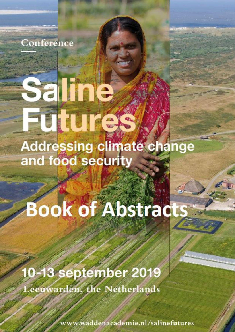

Saline

## Futures **Addressing climate change** and food security

# **Book of Abstracts**

10-13 september 2019 Leeuwarden, the Netherlands

www.waddenacademie.nl/salinefutures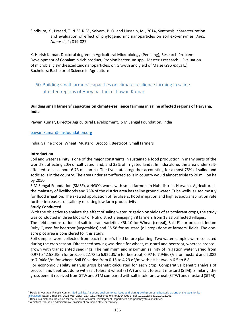Sindhura, K., Prasad, T. N. V. K. V., Selvam, P. O. and Hussain, M., 2014, Synthesis, characterization and evaluation of effect of phytogenic zinc nanoparticles on soil exo-enzymes. *Appl. Nanosci*., 4: 819-827.

K. Harish Kumar, Doctoral degree: In Agricultural Microbiology (Persuing), Research Problem: Development of Cobalamin rich product, Propionibacterium spp., Master's research: Evaluation of microbially synthesized zinc nanoparticles, on Growth and yield of Maize (*Zea mays* L.) Bachelors: Bachelor of Science in Agriculture

### 60.Building small farmers' capacities on climate-resilience farming in saline affected regions of Haryana, India - Pawan Kumar

#### **Building small farmers' capacities on climate-resilience farming in saline affected regions of Haryana, India**

Pawan Kumar, Director Agricultural Development, S M Sehgal Foundation, India

#### [pawan.kumar@smsfoundation.org](mailto:pawan.kumar@smsfoundation.org)

India, Saline crops, Wheat, Mustard, Broccoli, Beetroot, Small farmers

#### **Introduction**

Soil and water salinity is one of the major constraints in sustainable food production in many parts of the world's , affecting 20% of cultivated land, and 33% of irrigated land6. In India alone, the area under saltaffected soils is about 6.73 million ha. The five states together accounting for almost 75% of saline and sodic soils in the country. The area under salt-affected soils in country would almost triple to 20 million ha by 2050

S M Sehgal Foundation (SMSF), a NGO's works with small farmers in Nuh district, Haryana. Agriculture is the mainstay of livelihoods and 75% of the district area has saline ground water. Tube wells is used mostly for flood irrigation. The skewed application of fertilizers, flood irrigation and high evapotranspiration rate further increases soil salinity resulting low farm productivity.

#### **Study Conducted**

With the objective to analyze the effect of saline water irrigation on yields of salt-tolerant crops, the study was conducted in three blocks7 of Nuh district,8 engaging 78 farmers from 13 salt-affected villages.

The field demonstrations of salt tolerant varieties KRL 10 for Wheat (cereal), Saki F1 for broccoli, Indum Ruby Queen for beetroot (vegetables) and CS 58 for mustard (oil crop) done at farmers' fields. The oneacre plot area is considered for this study.

Soil samples were collected from each farmer's field before planting. Two water samples were collected during the crop season. Direct seed sowing was done for wheat, mustard and beetroot, whereas broccoli grown with transplanted seedlings. The minimum and maximum salinity of irrigation water varied from 0.97 to 4.158dS/m for broccoli, 2.178 to 6.922dS/m for beetroot, 0.97 to 7.946dS/m for mustard and 2.882 to 7.946dS/m for wheat. Soil EC varied from 0.15 to 4.29 dS/m with pH between 6.5 to 8.8.

For economic viability analysis gross benefit calculated for each crop. Comparative benefit analysis of broccoli and beetroot done with salt tolerant wheat (STW) and salt tolerant mustard (STM). Similarly, the gross benefit received from STW and STM compared with salt intolerant wheat (SITW) and mustard (SITM).

**<sup>.</sup>** <sup>6</sup> Pooja Srivastava, Rajesh Kumar: Soil salinity: A serious environmental issue and plant growth promoting bacteria as one of the tools for its

[alleviation.](https://www.ncbi.nlm.nih.gov/pmc/articles/PMC4336437/) Saudi J Biol Sci. 2015 Mar; 22(2): 123–131. Published online 2014 Dec 9. doi: 10.1016/j.sjbs.2014.12.001 **EXECUTE IS CONSIDENTED FOR A DISTRICT SUBDIVISION** TO THE PURPOSE OF RURAL DEVELOPMENT And panchayati raj institutes.

<sup>&</sup>lt;sup>8</sup> A district (zilā) is an administrative division of an Indian state or territory.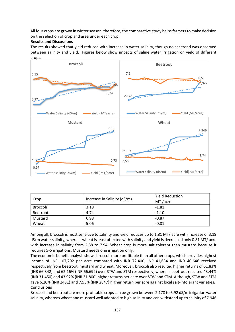All four crops are grown in winter season, therefore, the comparative study helps farmers to make decision on the selection of crop and area under each crop.

#### **Results and Discussions**

The results showed that yield reduced with increase in water salinity, though no set trend was observed between salinity and yield. Figures below show impacts of saline water irrigation on yield of different crops.



| Crop     | Increase in Salinity (dS/m) | <b>Yield Reduction</b> |
|----------|-----------------------------|------------------------|
|          |                             | MT /acre               |
| Broccoli | 3.19                        | $-1.81$                |
| Beetroot | 4.74                        | $-1.10$                |
| Mustard  | 6.98                        | $-0.87$                |
| Wheat    | 5.06                        | $-0.81$                |

Among all, broccoli is most sensitive to salinity and yield reduces up to 1.81 MT/ acre with increase of 3.19 dS/m water salinity, whereas wheat is least affected with salinity and yield is decreased only 0.81 MT/ acre with increase in salinity from 2.88 to 7.94. Wheat crop is more salt tolerant than mustard because it requires 5-6 irrigations. Mustard needs one irrigation only.

The economic benefit analysis shows broccoli more profitable than all other crops, which provides highest income of INR 107,292 per acre compared with INR 72,400, INR 41,634 and INR 40,646 received respectively from beetroot, mustard and wheat. Moreover, broccoli also resulted higher returns of 61.83% (INR 66,342) and 62.16% (INR 66,692) over STW and STM respectively, whereas beetroot resulted 43.44% (INR 31,450) and 43.92% (INR 31,800) higher returns per acre over STW and STM. Although, STW and STM gave 6.20% (INR 2431) and 7.53% (INR 2847) higher return per acre against local salt-intolerant varieties. **Conclusions** 

Broccoli and beetroot are more profitable crops can be grown between 2.178 to 6.92 dS/m irrigation water salinity, whereas wheat and mustard well adopted to high salinity and can withstand up to salinity of 7.946